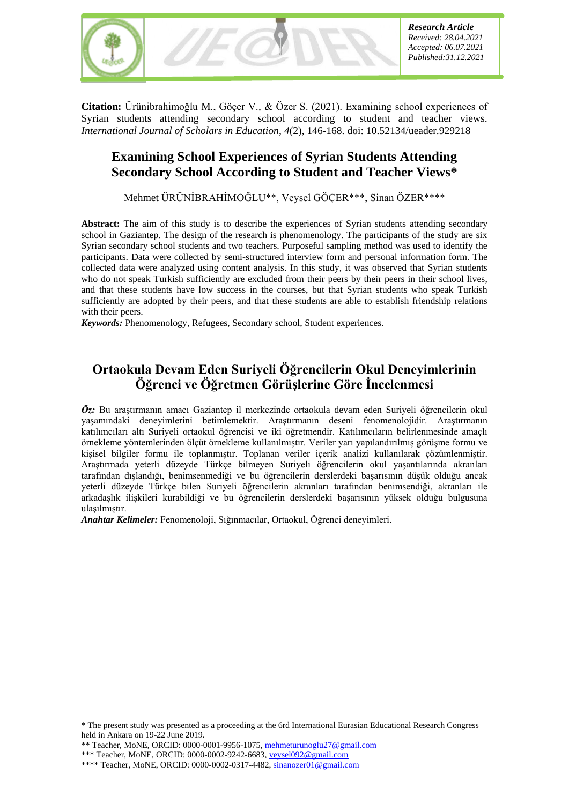

**Citation:** Ürünibrahimoğlu M., Göçer V., & Özer S. (2021). Examining school experiences of Syrian students attending secondary school according to student and teacher views. *International Journal of Scholars in Education*, *4*(2), 146-168. doi: 10.52134/ueader.929218

# **Examining School Experiences of Syrian Students Attending Secondary School According to Student and Teacher Views\***

Mehmet ÜRÜNİBRAHİMOĞLU\*\*, Veysel GÖÇER\*\*\*, Sinan ÖZER\*\*\*\*

**Abstract:** The aim of this study is to describe the experiences of Syrian students attending secondary school in Gaziantep. The design of the research is phenomenology. The participants of the study are six Syrian secondary school students and two teachers. Purposeful sampling method was used to identify the participants. Data were collected by semi-structured interview form and personal information form. The collected data were analyzed using content analysis. In this study, it was observed that Syrian students who do not speak Turkish sufficiently are excluded from their peers by their peers in their school lives, and that these students have low success in the courses, but that Syrian students who speak Turkish sufficiently are adopted by their peers, and that these students are able to establish friendship relations with their peers.

*Keywords:* Phenomenology, Refugees, Secondary school, Student experiences.

# **Ortaokula Devam Eden Suriyeli Öğrencilerin Okul Deneyimlerinin Öğrenci ve Öğretmen Görüşlerine Göre İncelenmesi**

*Öz:* Bu araştırmanın amacı Gaziantep il merkezinde ortaokula devam eden Suriyeli öğrencilerin okul yaşamındaki deneyimlerini betimlemektir. Araştırmanın deseni fenomenolojidir. Araştırmanın katılımcıları altı Suriyeli ortaokul öğrencisi ve iki öğretmendir. Katılımcıların belirlenmesinde amaçlı örnekleme yöntemlerinden ölçüt örnekleme kullanılmıştır. Veriler yarı yapılandırılmış görüşme formu ve kişisel bilgiler formu ile toplanmıştır. Toplanan veriler içerik analizi kullanılarak çözümlenmiştir. Araştırmada yeterli düzeyde Türkçe bilmeyen Suriyeli öğrencilerin okul yaşantılarında akranları tarafından dışlandığı, benimsenmediği ve bu öğrencilerin derslerdeki başarısının düşük olduğu ancak yeterli düzeyde Türkçe bilen Suriyeli öğrencilerin akranları tarafından benimsendiği, akranları ile arkadaşlık ilişkileri kurabildiği ve bu öğrencilerin derslerdeki başarısının yüksek olduğu bulgusuna ulaşılmıştır.

*Anahtar Kelimeler:* Fenomenoloji, Sığınmacılar, Ortaokul, Öğrenci deneyimleri.

<sup>\*</sup> The present study was presented as a proceeding at the 6rd International Eurasian Educational Research Congress held in Ankara on 19-22 June 2019.

<sup>\*\*</sup> Teacher, MoNE, ORCID: 0000-0001-9956-1075, mehmeturunoglu27@gmail.com

<sup>\*\*\*</sup> Teacher, MoNE, ORCID: 0000-0002-9242-6683, veysel092@gmail.com

<sup>\*\*\*\*</sup> Teacher, MoNE, ORCID: 0000-0002-0317-4482, sinanozer01@gmail.com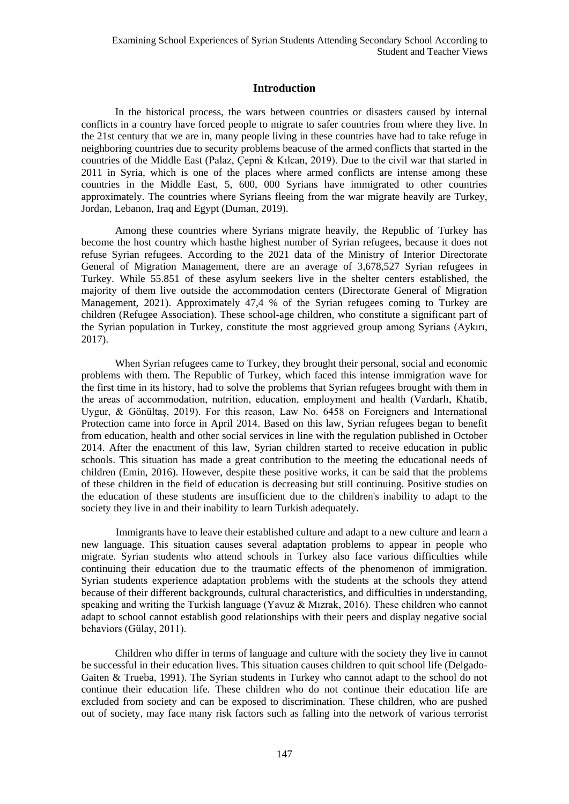# **Introduction**

In the historical process, the wars between countries or disasters caused by internal conflicts in a country have forced people to migrate to safer countries from where they live. In the 21st century that we are in, many people living in these countries have had to take refuge in neighboring countries due to security problems beacuse of the armed conflicts that started in the countries of the Middle East (Palaz, Çepni & Kılcan, 2019). Due to the civil war that started in 2011 in Syria, which is one of the places where armed conflicts are intense among these countries in the Middle East, 5, 600, 000 Syrians have immigrated to other countries approximately. The countries where Syrians fleeing from the war migrate heavily are Turkey, Jordan, Lebanon, Iraq and Egypt (Duman, 2019).

Among these countries where Syrians migrate heavily, the Republic of Turkey has become the host country which hasthe highest number of Syrian refugees, because it does not refuse Syrian refugees. According to the 2021 data of the Ministry of Interior Directorate General of Migration Management, there are an average of 3,678,527 Syrian refugees in Turkey. While 55.851 of these asylum seekers live in the shelter centers established, the majority of them live outside the accommodation centers (Directorate General of Migration Management, 2021). Approximately 47,4 % of the Syrian refugees coming to Turkey are children (Refugee Association). These school-age children, who constitute a significant part of the Syrian population in Turkey, constitute the most aggrieved group among Syrians (Aykırı, 2017).

When Syrian refugees came to Turkey, they brought their personal, social and economic problems with them. The Republic of Turkey, which faced this intense immigration wave for the first time in its history, had to solve the problems that Syrian refugees brought with them in the areas of accommodation, nutrition, education, employment and health (Vardarlı, Khatib, Uygur, & Gönültaş, 2019). For this reason, Law No. 6458 on Foreigners and International Protection came into force in April 2014. Based on this law, Syrian refugees began to benefit from education, health and other social services in line with the regulation published in October 2014. After the enactment of this law, Syrian children started to receive education in public schools. This situation has made a great contribution to the meeting the educational needs of children (Emin, 2016). However, despite these positive works, it can be said that the problems of these children in the field of education is decreasing but still continuing. Positive studies on the education of these students are insufficient due to the children's inability to adapt to the society they live in and their inability to learn Turkish adequately.

Immigrants have to leave their established culture and adapt to a new culture and learn a new language. This situation causes several adaptation problems to appear in people who migrate. Syrian students who attend schools in Turkey also face various difficulties while continuing their education due to the traumatic effects of the phenomenon of immigration. Syrian students experience adaptation problems with the students at the schools they attend because of their different backgrounds, cultural characteristics, and difficulties in understanding, speaking and writing the Turkish language (Yavuz & Mızrak, 2016). These children who cannot adapt to school cannot establish good relationships with their peers and display negative social behaviors (Gülay, 2011).

Children who differ in terms of language and culture with the society they live in cannot be successful in their education lives. This situation causes children to quit school life (Delgado-Gaiten & Trueba, 1991). The Syrian students in Turkey who cannot adapt to the school do not continue their education life. These children who do not continue their education life are excluded from society and can be exposed to discrimination. These children, who are pushed out of society, may face many risk factors such as falling into the network of various terrorist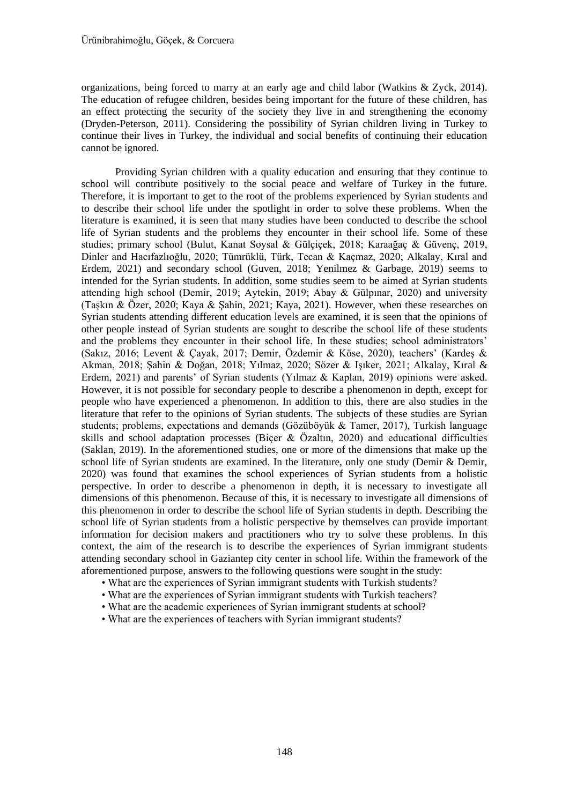organizations, being forced to marry at an early age and child labor (Watkins & Zyck, 2014). The education of refugee children, besides being important for the future of these children, has an effect protecting the security of the society they live in and strengthening the economy (Dryden-Peterson, 2011). Considering the possibility of Syrian children living in Turkey to continue their lives in Turkey, the individual and social benefits of continuing their education cannot be ignored.

Providing Syrian children with a quality education and ensuring that they continue to school will contribute positively to the social peace and welfare of Turkey in the future. Therefore, it is important to get to the root of the problems experienced by Syrian students and to describe their school life under the spotlight in order to solve these problems. When the literature is examined, it is seen that many studies have been conducted to describe the school life of Syrian students and the problems they encounter in their school life. Some of these studies; primary school (Bulut, Kanat Soysal & Gülçiçek, 2018; Karaağaç & Güvenç, 2019, Dinler and Hacıfazlıoğlu, 2020; Tümrüklü, Türk, Tecan & Kaçmaz, 2020; Alkalay, Kıral and Erdem, 2021) and secondary school (Guven, 2018; Yenilmez & Garbage, 2019) seems to intended for the Syrian students. In addition, some studies seem to be aimed at Syrian students attending high school (Demir, 2019; Aytekin, 2019; Abay & Gülpınar, 2020) and university (Taşkın & Özer, 2020; Kaya & Şahin, 2021; Kaya, 2021). However, when these researches on Syrian students attending different education levels are examined, it is seen that the opinions of other people instead of Syrian students are sought to describe the school life of these students and the problems they encounter in their school life. In these studies; school administrators' (Sakız, 2016; Levent & Çayak, 2017; Demir, Özdemir & Köse, 2020), teachers' (Kardeş & Akman, 2018; Şahin & Doğan, 2018; Yılmaz, 2020; Sözer & Işıker, 2021; Alkalay, Kıral & Erdem, 2021) and parents' of Syrian students (Yılmaz & Kaplan, 2019) opinions were asked. However, it is not possible for secondary people to describe a phenomenon in depth, except for people who have experienced a phenomenon. In addition to this, there are also studies in the literature that refer to the opinions of Syrian students. The subjects of these studies are Syrian students; problems, expectations and demands (Gözüböyük & Tamer, 2017), Turkish language skills and school adaptation processes (Biçer & Özaltın, 2020) and educational difficulties (Saklan, 2019). In the aforementioned studies, one or more of the dimensions that make up the school life of Syrian students are examined. In the literature, only one study (Demir & Demir, 2020) was found that examines the school experiences of Syrian students from a holistic perspective. In order to describe a phenomenon in depth, it is necessary to investigate all dimensions of this phenomenon. Because of this, it is necessary to investigate all dimensions of this phenomenon in order to describe the school life of Syrian students in depth. Describing the school life of Syrian students from a holistic perspective by themselves can provide important information for decision makers and practitioners who try to solve these problems. In this context, the aim of the research is to describe the experiences of Syrian immigrant students attending secondary school in Gaziantep city center in school life. Within the framework of the aforementioned purpose, answers to the following questions were sought in the study:

- What are the experiences of Syrian immigrant students with Turkish students?
- What are the experiences of Syrian immigrant students with Turkish teachers?
- What are the academic experiences of Syrian immigrant students at school?
- What are the experiences of teachers with Syrian immigrant students?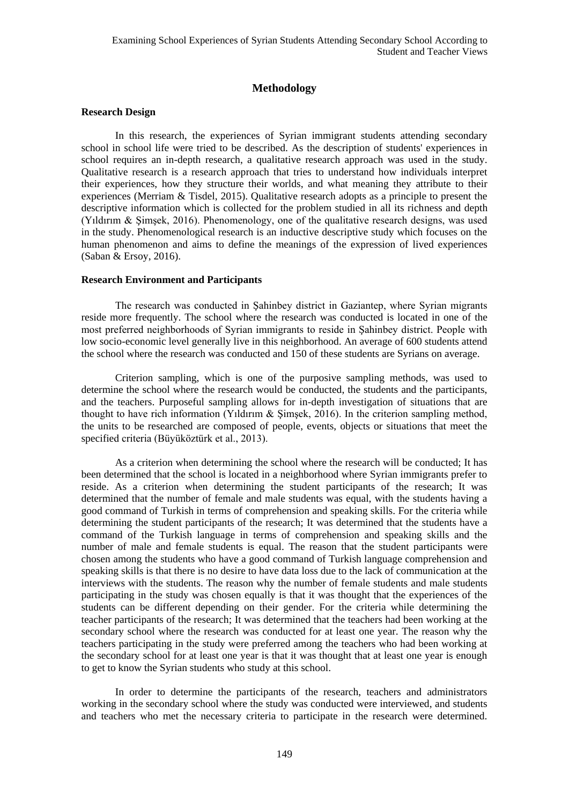# **Methodology**

### **Research Design**

In this research, the experiences of Syrian immigrant students attending secondary school in school life were tried to be described. As the description of students' experiences in school requires an in-depth research, a qualitative research approach was used in the study. Qualitative research is a research approach that tries to understand how individuals interpret their experiences, how they structure their worlds, and what meaning they attribute to their experiences (Merriam & Tisdel, 2015). Qualitative research adopts as a principle to present the descriptive information which is collected for the problem studied in all its richness and depth (Yıldırım & Şimşek, 2016). Phenomenology, one of the qualitative research designs, was used in the study. Phenomenological research is an inductive descriptive study which focuses on the human phenomenon and aims to define the meanings of the expression of lived experiences (Saban & Ersoy, 2016).

### **Research Environment and Participants**

The research was conducted in Şahinbey district in Gaziantep, where Syrian migrants reside more frequently. The school where the research was conducted is located in one of the most preferred neighborhoods of Syrian immigrants to reside in Şahinbey district. People with low socio-economic level generally live in this neighborhood. An average of 600 students attend the school where the research was conducted and 150 of these students are Syrians on average.

Criterion sampling, which is one of the purposive sampling methods, was used to determine the school where the research would be conducted, the students and the participants, and the teachers. Purposeful sampling allows for in-depth investigation of situations that are thought to have rich information (Yıldırım & Şimşek, 2016). In the criterion sampling method, the units to be researched are composed of people, events, objects or situations that meet the specified criteria (Büyüköztürk et al., 2013).

As a criterion when determining the school where the research will be conducted; It has been determined that the school is located in a neighborhood where Syrian immigrants prefer to reside. As a criterion when determining the student participants of the research; It was determined that the number of female and male students was equal, with the students having a good command of Turkish in terms of comprehension and speaking skills. For the criteria while determining the student participants of the research; It was determined that the students have a command of the Turkish language in terms of comprehension and speaking skills and the number of male and female students is equal. The reason that the student participants were chosen among the students who have a good command of Turkish language comprehension and speaking skills is that there is no desire to have data loss due to the lack of communication at the interviews with the students. The reason why the number of female students and male students participating in the study was chosen equally is that it was thought that the experiences of the students can be different depending on their gender. For the criteria while determining the teacher participants of the research; It was determined that the teachers had been working at the secondary school where the research was conducted for at least one year. The reason why the teachers participating in the study were preferred among the teachers who had been working at the secondary school for at least one year is that it was thought that at least one year is enough to get to know the Syrian students who study at this school.

In order to determine the participants of the research, teachers and administrators working in the secondary school where the study was conducted were interviewed, and students and teachers who met the necessary criteria to participate in the research were determined.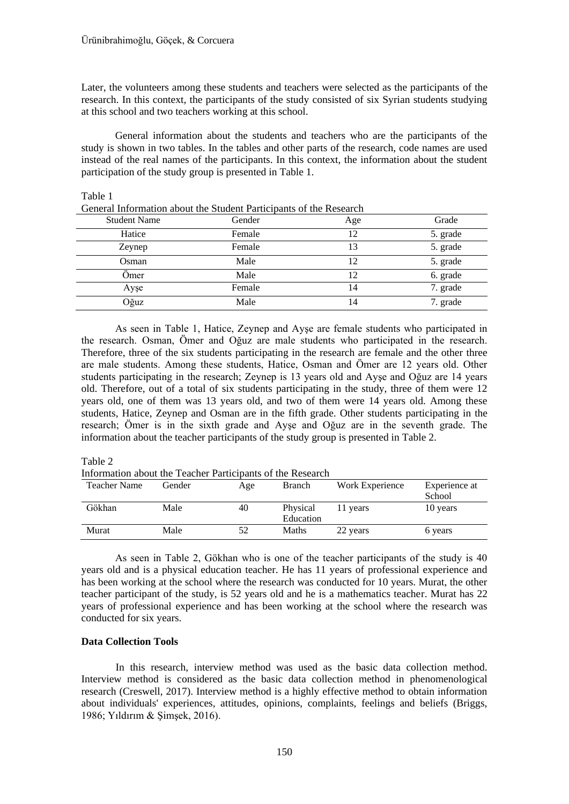Later, the volunteers among these students and teachers were selected as the participants of the research. In this context, the participants of the study consisted of six Syrian students studying at this school and two teachers working at this school.

General information about the students and teachers who are the participants of the study is shown in two tables. In the tables and other parts of the research, code names are used instead of the real names of the participants. In this context, the information about the student participation of the study group is presented in Table 1.

| General information about the Student Participants of the Research |        |     |          |  |  |  |
|--------------------------------------------------------------------|--------|-----|----------|--|--|--|
| <b>Student Name</b>                                                | Gender | Age | Grade    |  |  |  |
| Hatice                                                             | Female | 12  | 5. grade |  |  |  |
| Zeynep                                                             | Female | 13  | 5. grade |  |  |  |
| Osman                                                              | Male   | 12  | 5. grade |  |  |  |
| Omer                                                               | Male   | 12  | 6. grade |  |  |  |
| Ayşe                                                               | Female | 14  | 7. grade |  |  |  |
| Oğuz                                                               | Male   | 14  | 7. grade |  |  |  |

Table 1 mation about the Student Participants of the Res

As seen in Table 1, Hatice, Zeynep and Ayşe are female students who participated in the research. Osman, Ömer and Oğuz are male students who participated in the research. Therefore, three of the six students participating in the research are female and the other three are male students. Among these students, Hatice, Osman and Ömer are 12 years old. Other students participating in the research; Zeynep is 13 years old and Ayşe and Oğuz are 14 years old. Therefore, out of a total of six students participating in the study, three of them were 12 years old, one of them was 13 years old, and two of them were 14 years old. Among these students, Hatice, Zeynep and Osman are in the fifth grade. Other students participating in the research; Ömer is in the sixth grade and Ayşe and Oğuz are in the seventh grade. The information about the teacher participants of the study group is presented in Table 2.

#### Table 2

Information about the Teacher Participants of the Research

| Teacher Name | Gender | Age | Branch                | Work Experience | Experience at<br>School |
|--------------|--------|-----|-----------------------|-----------------|-------------------------|
| Gökhan       | Male   | 40  | Physical<br>Education | 11 years        | 10 years                |
| Murat        | Male   |     | <b>Maths</b>          | 22 years        | 6 years                 |

As seen in Table 2, Gökhan who is one of the teacher participants of the study is 40 years old and is a physical education teacher. He has 11 years of professional experience and has been working at the school where the research was conducted for 10 years. Murat, the other teacher participant of the study, is 52 years old and he is a mathematics teacher. Murat has 22 years of professional experience and has been working at the school where the research was conducted for six years.

### **Data Collection Tools**

In this research, interview method was used as the basic data collection method. Interview method is considered as the basic data collection method in phenomenological research (Creswell, 2017). Interview method is a highly effective method to obtain information about individuals' experiences, attitudes, opinions, complaints, feelings and beliefs (Briggs, 1986; Yıldırım & Şimşek, 2016).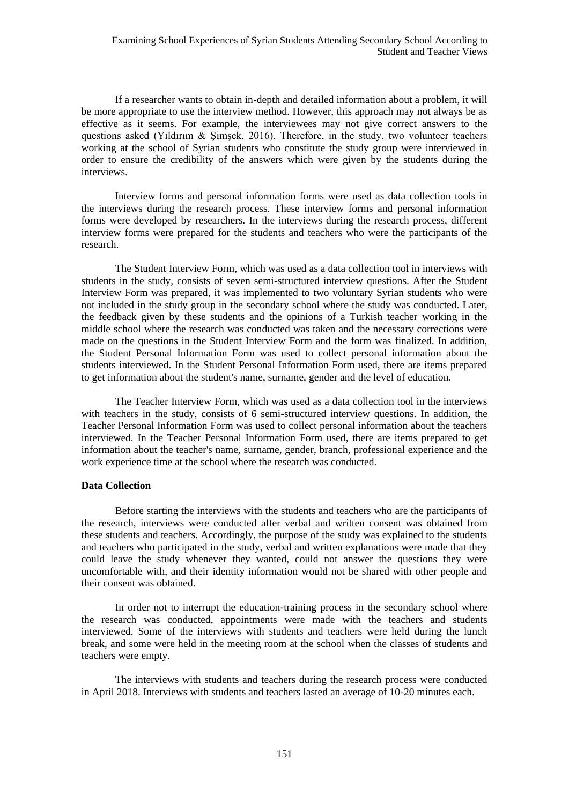If a researcher wants to obtain in-depth and detailed information about a problem, it will be more appropriate to use the interview method. However, this approach may not always be as effective as it seems. For example, the interviewees may not give correct answers to the questions asked (Yıldırım & Şimşek, 2016). Therefore, in the study, two volunteer teachers working at the school of Syrian students who constitute the study group were interviewed in order to ensure the credibility of the answers which were given by the students during the interviews.

Interview forms and personal information forms were used as data collection tools in the interviews during the research process. These interview forms and personal information forms were developed by researchers. In the interviews during the research process, different interview forms were prepared for the students and teachers who were the participants of the research.

The Student Interview Form, which was used as a data collection tool in interviews with students in the study, consists of seven semi-structured interview questions. After the Student Interview Form was prepared, it was implemented to two voluntary Syrian students who were not included in the study group in the secondary school where the study was conducted. Later, the feedback given by these students and the opinions of a Turkish teacher working in the middle school where the research was conducted was taken and the necessary corrections were made on the questions in the Student Interview Form and the form was finalized. In addition, the Student Personal Information Form was used to collect personal information about the students interviewed. In the Student Personal Information Form used, there are items prepared to get information about the student's name, surname, gender and the level of education.

The Teacher Interview Form, which was used as a data collection tool in the interviews with teachers in the study, consists of 6 semi-structured interview questions. In addition, the Teacher Personal Information Form was used to collect personal information about the teachers interviewed. In the Teacher Personal Information Form used, there are items prepared to get information about the teacher's name, surname, gender, branch, professional experience and the work experience time at the school where the research was conducted.

### **Data Collection**

Before starting the interviews with the students and teachers who are the participants of the research, interviews were conducted after verbal and written consent was obtained from these students and teachers. Accordingly, the purpose of the study was explained to the students and teachers who participated in the study, verbal and written explanations were made that they could leave the study whenever they wanted, could not answer the questions they were uncomfortable with, and their identity information would not be shared with other people and their consent was obtained.

In order not to interrupt the education-training process in the secondary school where the research was conducted, appointments were made with the teachers and students interviewed. Some of the interviews with students and teachers were held during the lunch break, and some were held in the meeting room at the school when the classes of students and teachers were empty.

The interviews with students and teachers during the research process were conducted in April 2018. Interviews with students and teachers lasted an average of 10-20 minutes each.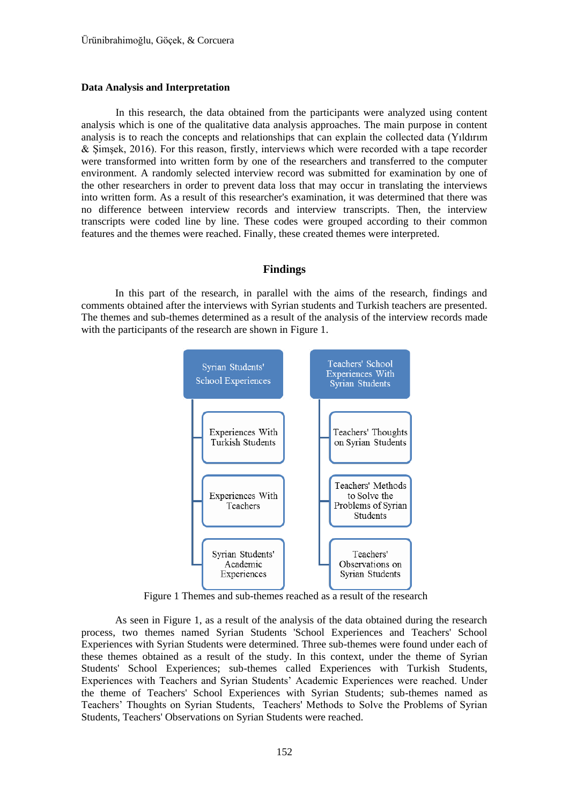#### **Data Analysis and Interpretation**

In this research, the data obtained from the participants were analyzed using content analysis which is one of the qualitative data analysis approaches. The main purpose in content analysis is to reach the concepts and relationships that can explain the collected data (Yıldırım & Şimşek, 2016). For this reason, firstly, interviews which were recorded with a tape recorder were transformed into written form by one of the researchers and transferred to the computer environment. A randomly selected interview record was submitted for examination by one of the other researchers in order to prevent data loss that may occur in translating the interviews into written form. As a result of this researcher's examination, it was determined that there was no difference between interview records and interview transcripts. Then, the interview transcripts were coded line by line. These codes were grouped according to their common features and the themes were reached. Finally, these created themes were interpreted.

# **Findings**

In this part of the research, in parallel with the aims of the research, findings and comments obtained after the interviews with Syrian students and Turkish teachers are presented. The themes and sub-themes determined as a result of the analysis of the interview records made with the participants of the research are shown in Figure 1.



Figure 1 Themes and sub-themes reached as a result of the research

As seen in Figure 1, as a result of the analysis of the data obtained during the research process, two themes named Syrian Students 'School Experiences and Teachers' School Experiences with Syrian Students were determined. Three sub-themes were found under each of these themes obtained as a result of the study. In this context, under the theme of Syrian Students' School Experiences; sub-themes called Experiences with Turkish Students, Experiences with Teachers and Syrian Students' Academic Experiences were reached. Under the theme of Teachers' School Experiences with Syrian Students; sub-themes named as Teachers' Thoughts on Syrian Students, Teachers' Methods to Solve the Problems of Syrian Students, Teachers' Observations on Syrian Students were reached.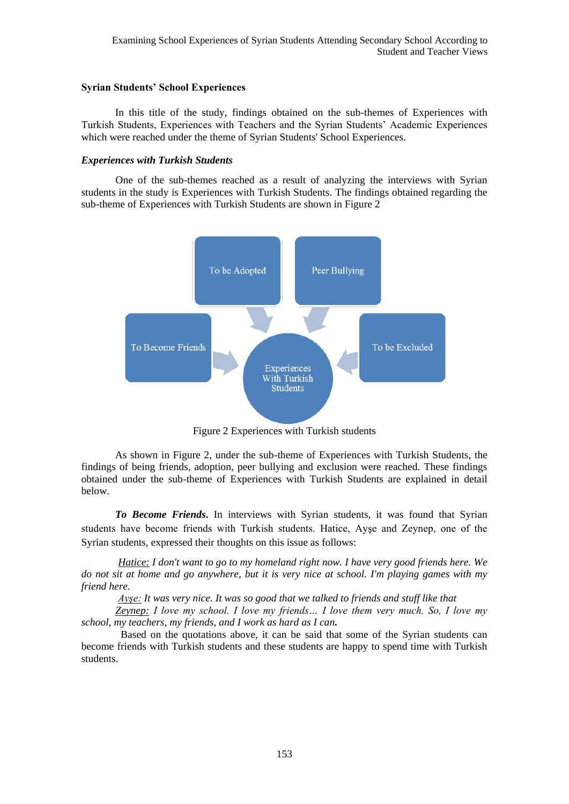### **Syrian Students' School Experiences**

In this title of the study, findings obtained on the sub-themes of Experiences with Turkish Students, Experiences with Teachers and the Syrian Students' Academic Experiences which were reached under the theme of Syrian Students' School Experiences.

# *Experiences with Turkish Students*

 One of the sub-themes reached as a result of analyzing the interviews with Syrian students in the study is Experiences with Turkish Students. The findings obtained regarding the sub-theme of Experiences with Turkish Students are shown in Figure 2



Figure 2 Experiences with Turkish students

As shown in Figure 2, under the sub-theme of Experiences with Turkish Students, the findings of being friends, adoption, peer bullying and exclusion were reached. These findings obtained under the sub-theme of Experiences with Turkish Students are explained in detail below.

*To Become Friends***.** In interviews with Syrian students, it was found that Syrian students have become friends with Turkish students. Hatice, Ayşe and Zeynep, one of the Syrian students, expressed their thoughts on this issue as follows:

 *Hatice: I don't want to go to my homeland right now. I have very good friends here. We do not sit at home and go anywhere, but it is very nice at school. I'm playing games with my friend here.*

 *Ayşe: It was very nice. It was so good that we talked to friends and stuff like that*

 *Zeynep: I love my school. I love my friends… I love them very much. So, I love my school, my teachers, my friends, and I work as hard as I can.*

Based on the quotations above, it can be said that some of the Syrian students can become friends with Turkish students and these students are happy to spend time with Turkish students.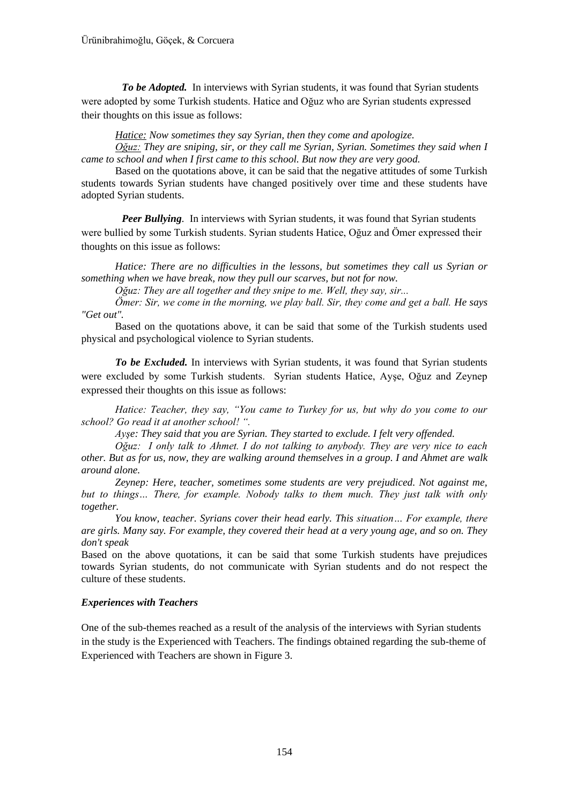*To be Adopted.* In interviews with Syrian students, it was found that Syrian students were adopted by some Turkish students. Hatice and Oğuz who are Syrian students expressed their thoughts on this issue as follows:

*Hatice: Now sometimes they say Syrian, then they come and apologize.*

*Oğuz: They are sniping, sir, or they call me Syrian, Syrian. Sometimes they said when I came to school and when I first came to this school. But now they are very good.*

Based on the quotations above, it can be said that the negative attitudes of some Turkish students towards Syrian students have changed positively over time and these students have adopted Syrian students.

*Peer Bullying.* In interviews with Syrian students, it was found that Syrian students were bullied by some Turkish students. Syrian students Hatice, Oğuz and Ömer expressed their thoughts on this issue as follows:

*Hatice: There are no difficulties in the lessons, but sometimes they call us Syrian or something when we have break, now they pull our scarves, but not for now.*

*Oğuz: They are all together and they snipe to me. Well, they say, sir...*

*Ömer: Sir, we come in the morning, we play ball. Sir, they come and get a ball. He says "Get out".*

Based on the quotations above, it can be said that some of the Turkish students used physical and psychological violence to Syrian students.

*To be Excluded.* In interviews with Syrian students, it was found that Syrian students were excluded by some Turkish students. Syrian students Hatice, Ayşe, Oğuz and Zeynep expressed their thoughts on this issue as follows:

*Hatice: Teacher, they say, "You came to Turkey for us, but why do you come to our school? Go read it at another school! ".* 

*Ayşe: They said that you are Syrian. They started to exclude. I felt very offended.*

*Oğuz: I only talk to Ahmet. I do not talking to anybody. They are very nice to each other. But as for us, now, they are walking around themselves in a group. I and Ahmet are walk around alone.*

*Zeynep: Here, teacher, sometimes some students are very prejudiced. Not against me,*  but to things... There, for example. Nobody talks to them much. They just talk with only *together.*

*You know, teacher. Syrians cover their head early. This situation… For example, there are girls. Many say. For example, they covered their head at a very young age, and so on. They don't speak*

Based on the above quotations, it can be said that some Turkish students have prejudices towards Syrian students, do not communicate with Syrian students and do not respect the culture of these students.

# *Experiences with Teachers*

One of the sub-themes reached as a result of the analysis of the interviews with Syrian students in the study is the Experienced with Teachers. The findings obtained regarding the sub-theme of Experienced with Teachers are shown in Figure 3.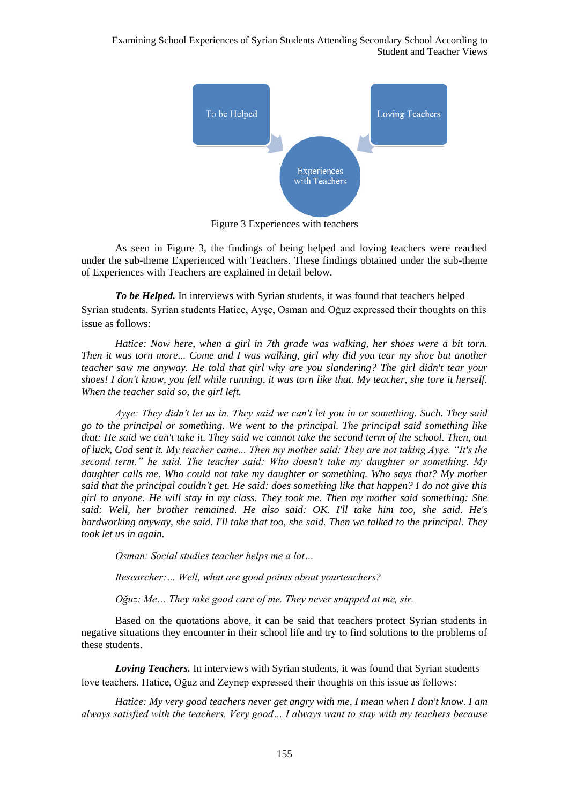

Figure 3 Experiences with teachers

As seen in Figure 3, the findings of being helped and loving teachers were reached under the sub-theme Experienced with Teachers. These findings obtained under the sub-theme of Experiences with Teachers are explained in detail below.

*To be Helped.* In interviews with Syrian students, it was found that teachers helped Syrian students. Syrian students Hatice, Ayşe, Osman and Oğuz expressed their thoughts on this issue as follows:

*Hatice: Now here, when a girl in 7th grade was walking, her shoes were a bit torn. Then it was torn more... Come and I was walking, girl why did you tear my shoe but another teacher saw me anyway. He told that girl why are you slandering? The girl didn't tear your shoes! I don't know, you fell while running, it was torn like that. My teacher, she tore it herself. When the teacher said so, the girl left.*

*Ayşe: They didn't let us in. They said we can't let you in or something. Such. They said go to the principal or something. We went to the principal. The principal said something like that: He said we can't take it. They said we cannot take the second term of the school. Then, out of luck, God sent it. My teacher came... Then my mother said: They are not taking Ayşe. "It's the second term," he said. The teacher said: Who doesn't take my daughter or something. My daughter calls me. Who could not take my daughter or something. Who says that? My mother said that the principal couldn't get. He said: does something like that happen? I do not give this girl to anyone. He will stay in my class. They took me. Then my mother said something: She said: Well, her brother remained. He also said: OK. I'll take him too, she said. He's hardworking anyway, she said. I'll take that too, she said. Then we talked to the principal. They took let us in again.*

*Osman: Social studies teacher helps me a lot…*

*Researcher:… Well, what are good points about yourteachers?*

*Oğuz: Me… They take good care of me. They never snapped at me, sir.*

Based on the quotations above, it can be said that teachers protect Syrian students in negative situations they encounter in their school life and try to find solutions to the problems of these students.

*Loving Teachers.* In interviews with Syrian students, it was found that Syrian students love teachers. Hatice, Oğuz and Zeynep expressed their thoughts on this issue as follows:

*Hatice: My very good teachers never get angry with me, I mean when I don't know. I am always satisfied with the teachers. Very good… I always want to stay with my teachers because*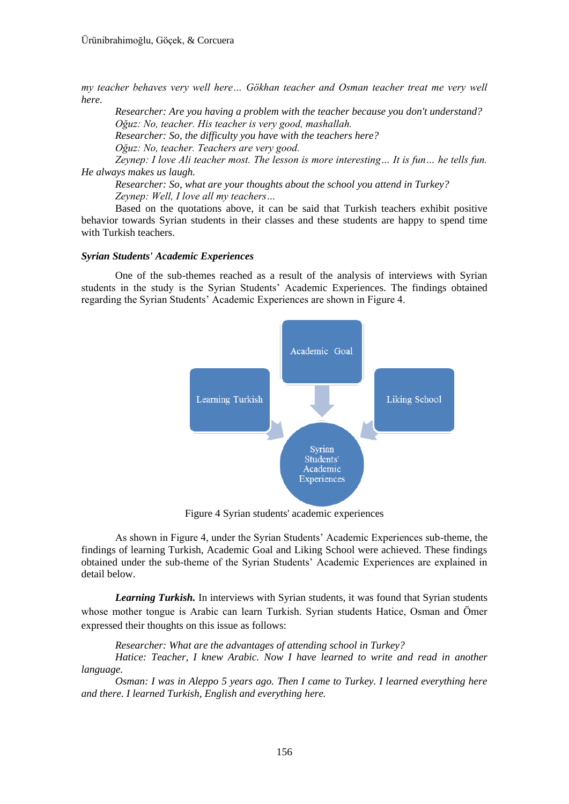*my teacher behaves very well here… Gökhan teacher and Osman teacher treat me very well here.*

*Researcher: Are you having a problem with the teacher because you don't understand? Oğuz: No, teacher. His teacher is very good, mashallah. Researcher: So, the difficulty you have with the teachers here? Oğuz: No, teacher. Teachers are very good.*

*Zeynep: I love Ali teacher most. The lesson is more interesting… It is fun… he tells fun. He always makes us laugh.*

*Researcher: So, what are your thoughts about the school you attend in Turkey? Zeynep: Well, I love all my teachers…*

Based on the quotations above, it can be said that Turkish teachers exhibit positive behavior towards Syrian students in their classes and these students are happy to spend time with Turkish teachers.

### *Syrian Students' Academic Experiences*

One of the sub-themes reached as a result of the analysis of interviews with Syrian students in the study is the Syrian Students' Academic Experiences. The findings obtained regarding the Syrian Students' Academic Experiences are shown in Figure 4.



Figure 4 Syrian students' academic experiences

As shown in Figure 4, under the Syrian Students' Academic Experiences sub-theme, the findings of learning Turkish, Academic Goal and Liking School were achieved. These findings obtained under the sub-theme of the Syrian Students' Academic Experiences are explained in detail below.

*Learning Turkish.* In interviews with Syrian students, it was found that Syrian students whose mother tongue is Arabic can learn Turkish. Syrian students Hatice, Osman and Ömer expressed their thoughts on this issue as follows:

*Researcher: What are the advantages of attending school in Turkey?*

*Hatice: Teacher, I knew Arabic. Now I have learned to write and read in another language.*

*Osman: I was in Aleppo 5 years ago. Then I came to Turkey. I learned everything here and there. I learned Turkish, English and everything here.*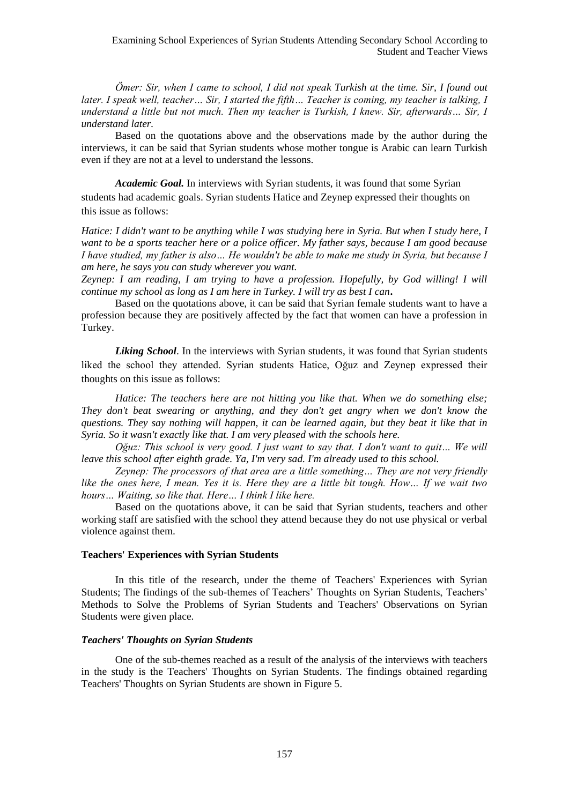*Ömer: Sir, when I came to school, I did not speak Turkish at the time. Sir, I found out later. I speak well, teacher… Sir, I started the fifth… Teacher is coming, my teacher is talking, I understand a little but not much. Then my teacher is Turkish, I knew. Sir, afterwards… Sir, I understand later.*

Based on the quotations above and the observations made by the author during the interviews, it can be said that Syrian students whose mother tongue is Arabic can learn Turkish even if they are not at a level to understand the lessons.

*Academic Goal.* In interviews with Syrian students, it was found that some Syrian students had academic goals. Syrian students Hatice and Zeynep expressed their thoughts on this issue as follows:

*Hatice: I didn't want to be anything while I was studying here in Syria. But when I study here, I want to be a sports teacher here or a police officer. My father says, because I am good because I have studied, my father is also… He wouldn't be able to make me study in Syria, but because I am here, he says you can study wherever you want.*

*Zeynep: I am reading, I am trying to have a profession. Hopefully, by God willing! I will continue my school as long as I am here in Turkey. I will try as best I can***.**

Based on the quotations above, it can be said that Syrian female students want to have a profession because they are positively affected by the fact that women can have a profession in Turkey.

*Liking School*. In the interviews with Syrian students, it was found that Syrian students liked the school they attended. Syrian students Hatice, Oğuz and Zeynep expressed their thoughts on this issue as follows:

*Hatice: The teachers here are not hitting you like that. When we do something else; They don't beat swearing or anything, and they don't get angry when we don't know the questions. They say nothing will happen, it can be learned again, but they beat it like that in Syria. So it wasn't exactly like that. I am very pleased with the schools here.*

*Oğuz: This school is very good. I just want to say that. I don't want to quit… We will leave this school after eighth grade. Ya, I'm very sad. I'm already used to this school.*

*Zeynep: The processors of that area are a little something… They are not very friendly like the ones here, I mean. Yes it is. Here they are a little bit tough. How… If we wait two hours… Waiting, so like that. Here… I think I like here.*

Based on the quotations above, it can be said that Syrian students, teachers and other working staff are satisfied with the school they attend because they do not use physical or verbal violence against them.

### **Teachers' Experiences with Syrian Students**

In this title of the research, under the theme of Teachers' Experiences with Syrian Students; The findings of the sub-themes of Teachers' Thoughts on Syrian Students, Teachers' Methods to Solve the Problems of Syrian Students and Teachers' Observations on Syrian Students were given place.

### *Teachers' Thoughts on Syrian Students*

One of the sub-themes reached as a result of the analysis of the interviews with teachers in the study is the Teachers' Thoughts on Syrian Students. The findings obtained regarding Teachers' Thoughts on Syrian Students are shown in Figure 5.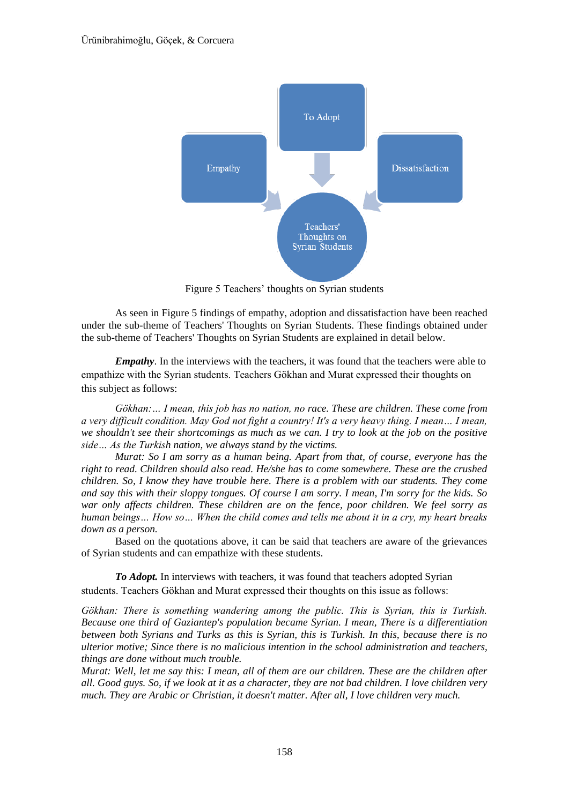

Figure 5 Teachers' thoughts on Syrian students

As seen in Figure 5 findings of empathy, adoption and dissatisfaction have been reached under the sub-theme of Teachers' Thoughts on Syrian Students. These findings obtained under the sub-theme of Teachers' Thoughts on Syrian Students are explained in detail below.

*Empathy*. In the interviews with the teachers, it was found that the teachers were able to empathize with the Syrian students. Teachers Gökhan and Murat expressed their thoughts on this subject as follows:

*Gökhan:… I mean, this job has no nation, no race. These are children. These come from a very difficult condition. May God not fight a country! It's a very heavy thing. I mean… I mean, we shouldn't see their shortcomings as much as we can. I try to look at the job on the positive side… As the Turkish nation, we always stand by the victims.*

*Murat: So I am sorry as a human being. Apart from that, of course, everyone has the right to read. Children should also read. He/she has to come somewhere. These are the crushed children. So, I know they have trouble here. There is a problem with our students. They come and say this with their sloppy tongues. Of course I am sorry. I mean, I'm sorry for the kids. So war only affects children. These children are on the fence, poor children. We feel sorry as human beings… How so… When the child comes and tells me about it in a cry, my heart breaks down as a person.*

Based on the quotations above, it can be said that teachers are aware of the grievances of Syrian students and can empathize with these students.

*To Adopt.* In interviews with teachers, it was found that teachers adopted Syrian students. Teachers Gökhan and Murat expressed their thoughts on this issue as follows:

*Gökhan: There is something wandering among the public. This is Syrian, this is Turkish. Because one third of Gaziantep's population became Syrian. I mean, There is a differentiation between both Syrians and Turks as this is Syrian, this is Turkish. In this, because there is no ulterior motive; Since there is no malicious intention in the school administration and teachers, things are done without much trouble.*

*Murat: Well, let me say this: I mean, all of them are our children. These are the children after all. Good guys. So, if we look at it as a character, they are not bad children. I love children very much. They are Arabic or Christian, it doesn't matter. After all, I love children very much.*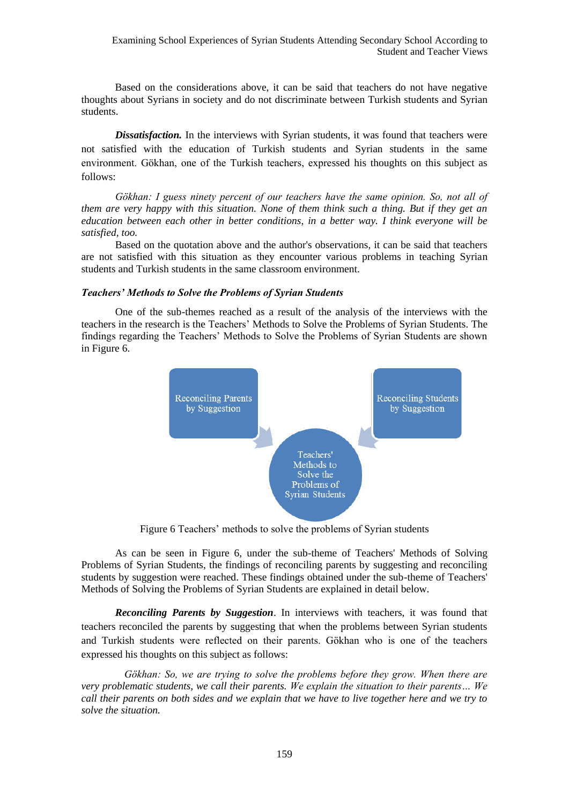Based on the considerations above, it can be said that teachers do not have negative thoughts about Syrians in society and do not discriminate between Turkish students and Syrian students.

*Dissatisfaction.* In the interviews with Syrian students, it was found that teachers were not satisfied with the education of Turkish students and Syrian students in the same environment. Gökhan, one of the Turkish teachers, expressed his thoughts on this subject as follows:

*Gökhan: I guess ninety percent of our teachers have the same opinion. So, not all of them are very happy with this situation. None of them think such a thing. But if they get an education between each other in better conditions, in a better way. I think everyone will be satisfied, too.*

Based on the quotation above and the author's observations, it can be said that teachers are not satisfied with this situation as they encounter various problems in teaching Syrian students and Turkish students in the same classroom environment.

### *Teachers' Methods to Solve the Problems of Syrian Students*

One of the sub-themes reached as a result of the analysis of the interviews with the teachers in the research is the Teachers' Methods to Solve the Problems of Syrian Students. The findings regarding the Teachers' Methods to Solve the Problems of Syrian Students are shown in Figure 6.



Figure 6 Teachers' methods to solve the problems of Syrian students

As can be seen in Figure 6, under the sub-theme of Teachers' Methods of Solving Problems of Syrian Students, the findings of reconciling parents by suggesting and reconciling students by suggestion were reached. These findings obtained under the sub-theme of Teachers' Methods of Solving the Problems of Syrian Students are explained in detail below.

*Reconciling Parents by Suggestion*. In interviews with teachers, it was found that teachers reconciled the parents by suggesting that when the problems between Syrian students and Turkish students were reflected on their parents. Gökhan who is one of the teachers expressed his thoughts on this subject as follows:

*Gökhan: So, we are trying to solve the problems before they grow. When there are very problematic students, we call their parents. We explain the situation to their parents… We call their parents on both sides and we explain that we have to live together here and we try to solve the situation.*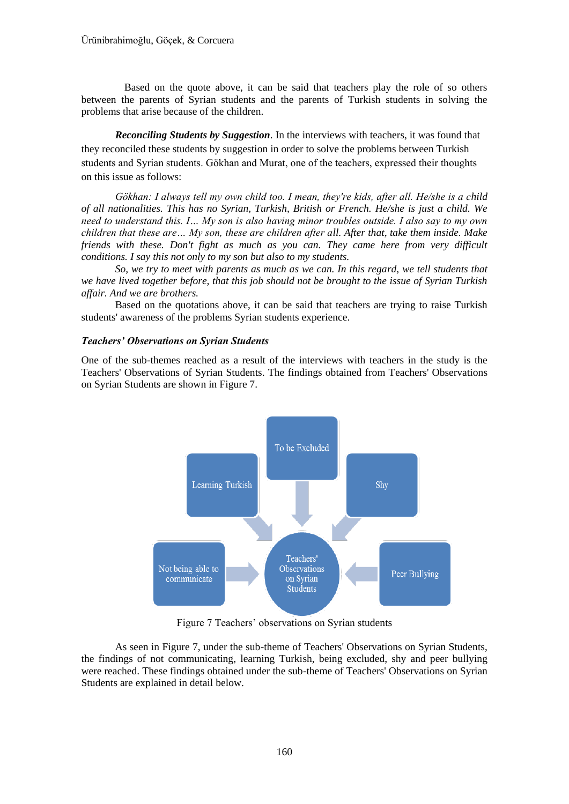Based on the quote above, it can be said that teachers play the role of so others between the parents of Syrian students and the parents of Turkish students in solving the problems that arise because of the children.

*Reconciling Students by Suggestion*. In the interviews with teachers, it was found that they reconciled these students by suggestion in order to solve the problems between Turkish students and Syrian students. Gökhan and Murat, one of the teachers, expressed their thoughts on this issue as follows:

*Gökhan: I always tell my own child too. I mean, they're kids, after all. He/she is a child of all nationalities. This has no Syrian, Turkish, British or French. He/she is just a child. We need to understand this. I… My son is also having minor troubles outside. I also say to my own children that these are… My son, these are children after all. After that, take them inside. Make friends with these. Don't fight as much as you can. They came here from very difficult conditions. I say this not only to my son but also to my students.*

*So, we try to meet with parents as much as we can. In this regard, we tell students that we have lived together before, that this job should not be brought to the issue of Syrian Turkish affair. And we are brothers.*

Based on the quotations above, it can be said that teachers are trying to raise Turkish students' awareness of the problems Syrian students experience.

# *Teachers' Observations on Syrian Students*

One of the sub-themes reached as a result of the interviews with teachers in the study is the Teachers' Observations of Syrian Students. The findings obtained from Teachers' Observations on Syrian Students are shown in Figure 7.



Figure 7 Teachers' observations on Syrian students

As seen in Figure 7, under the sub-theme of Teachers' Observations on Syrian Students, the findings of not communicating, learning Turkish, being excluded, shy and peer bullying were reached. These findings obtained under the sub-theme of Teachers' Observations on Syrian Students are explained in detail below.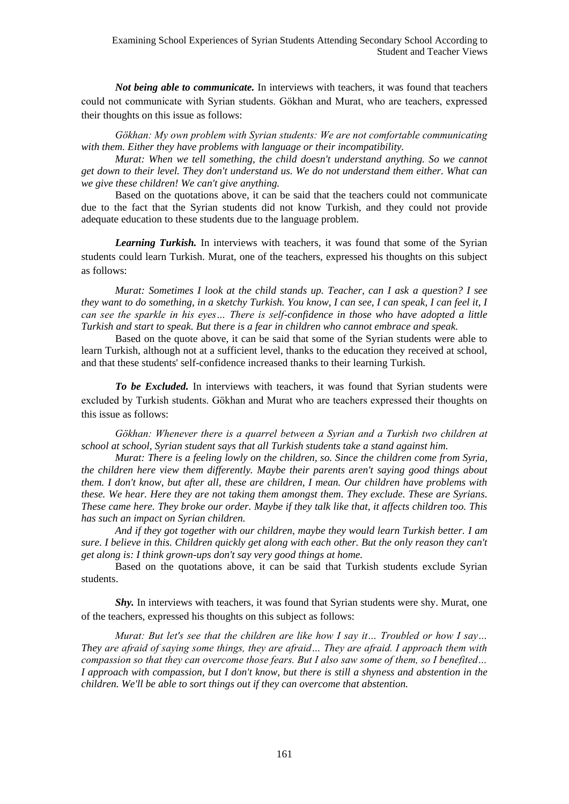*Not being able to communicate.* In interviews with teachers, it was found that teachers could not communicate with Syrian students. Gökhan and Murat, who are teachers, expressed their thoughts on this issue as follows:

*Gökhan: My own problem with Syrian students: We are not comfortable communicating with them. Either they have problems with language or their incompatibility.*

*Murat: When we tell something, the child doesn't understand anything. So we cannot get down to their level. They don't understand us. We do not understand them either. What can we give these children! We can't give anything.*

Based on the quotations above, it can be said that the teachers could not communicate due to the fact that the Syrian students did not know Turkish, and they could not provide adequate education to these students due to the language problem.

*Learning Turkish.* In interviews with teachers, it was found that some of the Syrian students could learn Turkish. Murat, one of the teachers, expressed his thoughts on this subject as follows:

*Murat: Sometimes I look at the child stands up. Teacher, can I ask a question? I see they want to do something, in a sketchy Turkish. You know, I can see, I can speak, I can feel it, I can see the sparkle in his eyes… There is self-confidence in those who have adopted a little Turkish and start to speak. But there is a fear in children who cannot embrace and speak.*

Based on the quote above, it can be said that some of the Syrian students were able to learn Turkish, although not at a sufficient level, thanks to the education they received at school, and that these students' self-confidence increased thanks to their learning Turkish.

*To be Excluded.* In interviews with teachers, it was found that Syrian students were excluded by Turkish students. Gökhan and Murat who are teachers expressed their thoughts on this issue as follows:

Gökhan: Whenever there is a quarrel between a Syrian and a Turkish two children at *school at school, Syrian student says that all Turkish students take a stand against him.*

*Murat: There is a feeling lowly on the children, so. Since the children come from Syria, the children here view them differently. Maybe their parents aren't saying good things about them. I don't know, but after all, these are children, I mean. Our children have problems with these. We hear. Here they are not taking them amongst them. They exclude. These are Syrians. These came here. They broke our order. Maybe if they talk like that, it affects children too. This has such an impact on Syrian children.*

*And if they got together with our children, maybe they would learn Turkish better. I am sure. I believe in this. Children quickly get along with each other. But the only reason they can't get along is: I think grown-ups don't say very good things at home.*

Based on the quotations above, it can be said that Turkish students exclude Syrian students.

**Shy.** In interviews with teachers, it was found that Syrian students were shy. Murat, one of the teachers, expressed his thoughts on this subject as follows:

*Murat: But let's see that the children are like how I say it… Troubled or how I say… They are afraid of saying some things, they are afraid… They are afraid. I approach them with compassion so that they can overcome those fears. But I also saw some of them, so I benefited… I approach with compassion, but I don't know, but there is still a shyness and abstention in the children. We'll be able to sort things out if they can overcome that abstention.*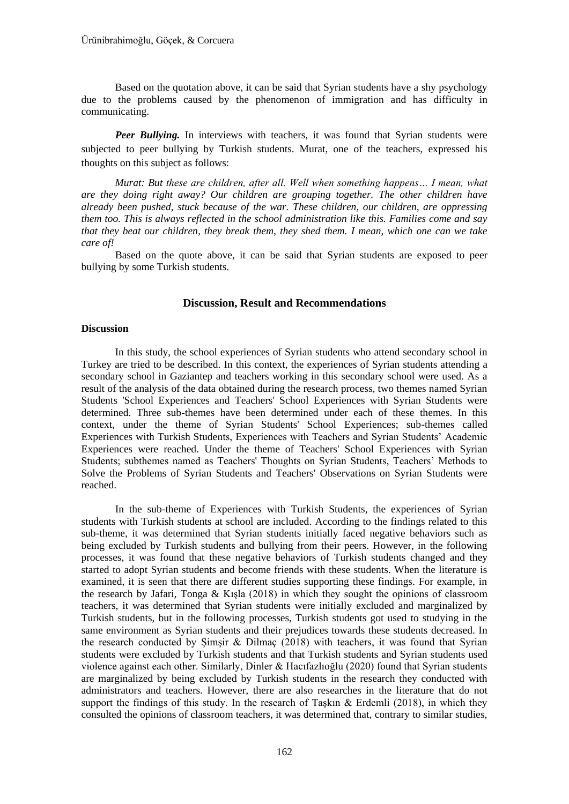Based on the quotation above, it can be said that Syrian students have a shy psychology due to the problems caused by the phenomenon of immigration and has difficulty in communicating.

**Peer Bullying.** In interviews with teachers, it was found that Syrian students were subjected to peer bullying by Turkish students. Murat, one of the teachers, expressed his thoughts on this subject as follows:

*Murat: But these are children, after all. Well when something happens… I mean, what are they doing right away? Our children are grouping together. The other children have already been pushed, stuck because of the war. These children, our children, are oppressing them too. This is always reflected in the school administration like this. Families come and say that they beat our children, they break them, they shed them. I mean, which one can we take care of!*

Based on the quote above, it can be said that Syrian students are exposed to peer bullying by some Turkish students.

# **Discussion, Result and Recommendations**

### **Discussion**

In this study, the school experiences of Syrian students who attend secondary school in Turkey are tried to be described. In this context, the experiences of Syrian students attending a secondary school in Gaziantep and teachers working in this secondary school were used. As a result of the analysis of the data obtained during the research process, two themes named Syrian Students 'School Experiences and Teachers' School Experiences with Syrian Students were determined. Three sub-themes have been determined under each of these themes. In this context, under the theme of Syrian Students' School Experiences; sub-themes called Experiences with Turkish Students, Experiences with Teachers and Syrian Students' Academic Experiences were reached. Under the theme of Teachers' School Experiences with Syrian Students; subthemes named as Teachers' Thoughts on Syrian Students, Teachers' Methods to Solve the Problems of Syrian Students and Teachers' Observations on Syrian Students were reached.

In the sub-theme of Experiences with Turkish Students, the experiences of Syrian students with Turkish students at school are included. According to the findings related to this sub-theme, it was determined that Syrian students initially faced negative behaviors such as being excluded by Turkish students and bullying from their peers. However, in the following processes, it was found that these negative behaviors of Turkish students changed and they started to adopt Syrian students and become friends with these students. When the literature is examined, it is seen that there are different studies supporting these findings. For example, in the research by Jafari, Tonga & Kışla (2018) in which they sought the opinions of classroom teachers, it was determined that Syrian students were initially excluded and marginalized by Turkish students, but in the following processes, Turkish students got used to studying in the same environment as Syrian students and their prejudices towards these students decreased. In the research conducted by Şimşir & Dilmaç (2018) with teachers, it was found that Syrian students were excluded by Turkish students and that Turkish students and Syrian students used violence against each other. Similarly, Dinler & Hacıfazlıoğlu (2020) found that Syrian students are marginalized by being excluded by Turkish students in the research they conducted with administrators and teachers. However, there are also researches in the literature that do not support the findings of this study. In the research of Taşkın  $\&$  Erdemli (2018), in which they consulted the opinions of classroom teachers, it was determined that, contrary to similar studies,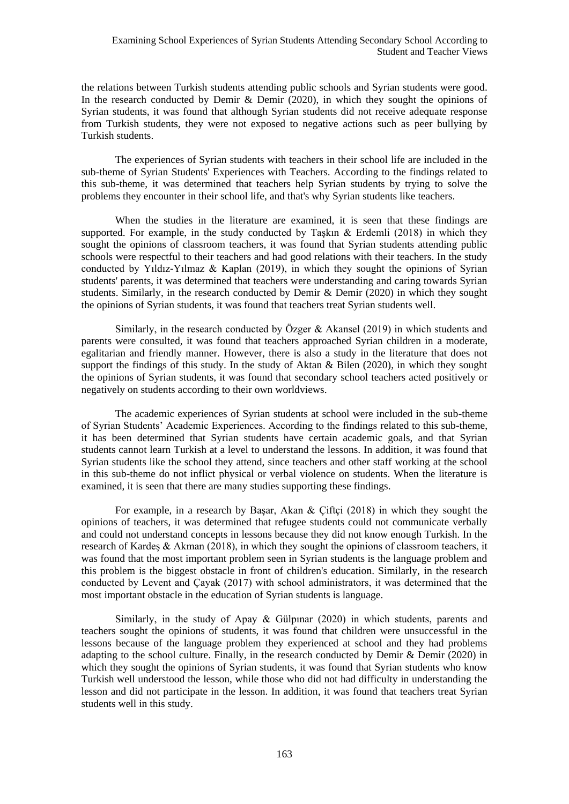the relations between Turkish students attending public schools and Syrian students were good. In the research conducted by Demir  $\&$  Demir (2020), in which they sought the opinions of Syrian students, it was found that although Syrian students did not receive adequate response from Turkish students, they were not exposed to negative actions such as peer bullying by Turkish students.

The experiences of Syrian students with teachers in their school life are included in the sub-theme of Syrian Students' Experiences with Teachers. According to the findings related to this sub-theme, it was determined that teachers help Syrian students by trying to solve the problems they encounter in their school life, and that's why Syrian students like teachers.

When the studies in the literature are examined, it is seen that these findings are supported. For example, in the study conducted by Taşkın & Erdemli (2018) in which they sought the opinions of classroom teachers, it was found that Syrian students attending public schools were respectful to their teachers and had good relations with their teachers. In the study conducted by Yıldız-Yılmaz & Kaplan (2019), in which they sought the opinions of Syrian students' parents, it was determined that teachers were understanding and caring towards Syrian students. Similarly, in the research conducted by Demir & Demir (2020) in which they sought the opinions of Syrian students, it was found that teachers treat Syrian students well.

Similarly, in the research conducted by Özger & Akansel (2019) in which students and parents were consulted, it was found that teachers approached Syrian children in a moderate, egalitarian and friendly manner. However, there is also a study in the literature that does not support the findings of this study. In the study of Aktan  $\&$  Bilen (2020), in which they sought the opinions of Syrian students, it was found that secondary school teachers acted positively or negatively on students according to their own worldviews.

The academic experiences of Syrian students at school were included in the sub-theme of Syrian Students' Academic Experiences. According to the findings related to this sub-theme, it has been determined that Syrian students have certain academic goals, and that Syrian students cannot learn Turkish at a level to understand the lessons. In addition, it was found that Syrian students like the school they attend, since teachers and other staff working at the school in this sub-theme do not inflict physical or verbal violence on students. When the literature is examined, it is seen that there are many studies supporting these findings.

For example, in a research by Başar, Akan & Çiftçi (2018) in which they sought the opinions of teachers, it was determined that refugee students could not communicate verbally and could not understand concepts in lessons because they did not know enough Turkish. In the research of Kardeş & Akman (2018), in which they sought the opinions of classroom teachers, it was found that the most important problem seen in Syrian students is the language problem and this problem is the biggest obstacle in front of children's education. Similarly, in the research conducted by Levent and Çayak (2017) with school administrators, it was determined that the most important obstacle in the education of Syrian students is language.

Similarly, in the study of Apay & Gülpınar (2020) in which students, parents and teachers sought the opinions of students, it was found that children were unsuccessful in the lessons because of the language problem they experienced at school and they had problems adapting to the school culture. Finally, in the research conducted by Demir & Demir (2020) in which they sought the opinions of Syrian students, it was found that Syrian students who know Turkish well understood the lesson, while those who did not had difficulty in understanding the lesson and did not participate in the lesson. In addition, it was found that teachers treat Syrian students well in this study.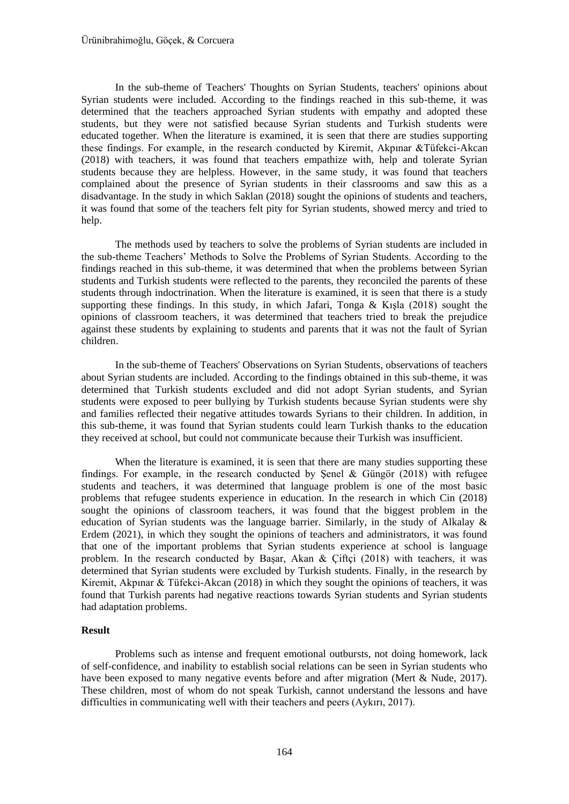In the sub-theme of Teachers' Thoughts on Syrian Students, teachers' opinions about Syrian students were included. According to the findings reached in this sub-theme, it was determined that the teachers approached Syrian students with empathy and adopted these students, but they were not satisfied because Syrian students and Turkish students were educated together. When the literature is examined, it is seen that there are studies supporting these findings. For example, in the research conducted by Kiremit, Akpınar &Tüfekci-Akcan (2018) with teachers, it was found that teachers empathize with, help and tolerate Syrian students because they are helpless. However, in the same study, it was found that teachers complained about the presence of Syrian students in their classrooms and saw this as a disadvantage. In the study in which Saklan (2018) sought the opinions of students and teachers, it was found that some of the teachers felt pity for Syrian students, showed mercy and tried to help.

The methods used by teachers to solve the problems of Syrian students are included in the sub-theme Teachers' Methods to Solve the Problems of Syrian Students. According to the findings reached in this sub-theme, it was determined that when the problems between Syrian students and Turkish students were reflected to the parents, they reconciled the parents of these students through indoctrination. When the literature is examined, it is seen that there is a study supporting these findings. In this study, in which Jafari, Tonga & Kışla (2018) sought the opinions of classroom teachers, it was determined that teachers tried to break the prejudice against these students by explaining to students and parents that it was not the fault of Syrian children.

In the sub-theme of Teachers' Observations on Syrian Students, observations of teachers about Syrian students are included. According to the findings obtained in this sub-theme, it was determined that Turkish students excluded and did not adopt Syrian students, and Syrian students were exposed to peer bullying by Turkish students because Syrian students were shy and families reflected their negative attitudes towards Syrians to their children. In addition, in this sub-theme, it was found that Syrian students could learn Turkish thanks to the education they received at school, but could not communicate because their Turkish was insufficient.

When the literature is examined, it is seen that there are many studies supporting these findings. For example, in the research conducted by Senel & Güngör  $(2018)$  with refugee students and teachers, it was determined that language problem is one of the most basic problems that refugee students experience in education. In the research in which Cin (2018) sought the opinions of classroom teachers, it was found that the biggest problem in the education of Syrian students was the language barrier. Similarly, in the study of Alkalay & Erdem (2021), in which they sought the opinions of teachers and administrators, it was found that one of the important problems that Syrian students experience at school is language problem. In the research conducted by Başar, Akan & Çiftçi (2018) with teachers, it was determined that Syrian students were excluded by Turkish students. Finally, in the research by Kiremit, Akpınar & Tüfekci-Akcan (2018) in which they sought the opinions of teachers, it was found that Turkish parents had negative reactions towards Syrian students and Syrian students had adaptation problems.

### **Result**

Problems such as intense and frequent emotional outbursts, not doing homework, lack of self-confidence, and inability to establish social relations can be seen in Syrian students who have been exposed to many negative events before and after migration (Mert & Nude, 2017). These children, most of whom do not speak Turkish, cannot understand the lessons and have difficulties in communicating well with their teachers and peers (Aykırı, 2017).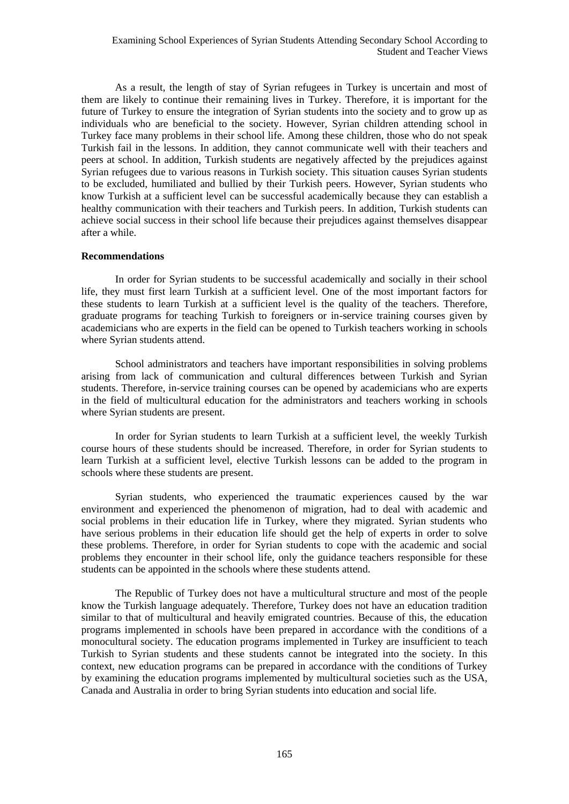As a result, the length of stay of Syrian refugees in Turkey is uncertain and most of them are likely to continue their remaining lives in Turkey. Therefore, it is important for the future of Turkey to ensure the integration of Syrian students into the society and to grow up as individuals who are beneficial to the society. However, Syrian children attending school in Turkey face many problems in their school life. Among these children, those who do not speak Turkish fail in the lessons. In addition, they cannot communicate well with their teachers and peers at school. In addition, Turkish students are negatively affected by the prejudices against Syrian refugees due to various reasons in Turkish society. This situation causes Syrian students to be excluded, humiliated and bullied by their Turkish peers. However, Syrian students who know Turkish at a sufficient level can be successful academically because they can establish a healthy communication with their teachers and Turkish peers. In addition, Turkish students can achieve social success in their school life because their prejudices against themselves disappear after a while.

### **Recommendations**

In order for Syrian students to be successful academically and socially in their school life, they must first learn Turkish at a sufficient level. One of the most important factors for these students to learn Turkish at a sufficient level is the quality of the teachers. Therefore, graduate programs for teaching Turkish to foreigners or in-service training courses given by academicians who are experts in the field can be opened to Turkish teachers working in schools where Syrian students attend.

School administrators and teachers have important responsibilities in solving problems arising from lack of communication and cultural differences between Turkish and Syrian students. Therefore, in-service training courses can be opened by academicians who are experts in the field of multicultural education for the administrators and teachers working in schools where Syrian students are present.

In order for Syrian students to learn Turkish at a sufficient level, the weekly Turkish course hours of these students should be increased. Therefore, in order for Syrian students to learn Turkish at a sufficient level, elective Turkish lessons can be added to the program in schools where these students are present.

Syrian students, who experienced the traumatic experiences caused by the war environment and experienced the phenomenon of migration, had to deal with academic and social problems in their education life in Turkey, where they migrated. Syrian students who have serious problems in their education life should get the help of experts in order to solve these problems. Therefore, in order for Syrian students to cope with the academic and social problems they encounter in their school life, only the guidance teachers responsible for these students can be appointed in the schools where these students attend.

The Republic of Turkey does not have a multicultural structure and most of the people know the Turkish language adequately. Therefore, Turkey does not have an education tradition similar to that of multicultural and heavily emigrated countries. Because of this, the education programs implemented in schools have been prepared in accordance with the conditions of a monocultural society. The education programs implemented in Turkey are insufficient to teach Turkish to Syrian students and these students cannot be integrated into the society. In this context, new education programs can be prepared in accordance with the conditions of Turkey by examining the education programs implemented by multicultural societies such as the USA, Canada and Australia in order to bring Syrian students into education and social life.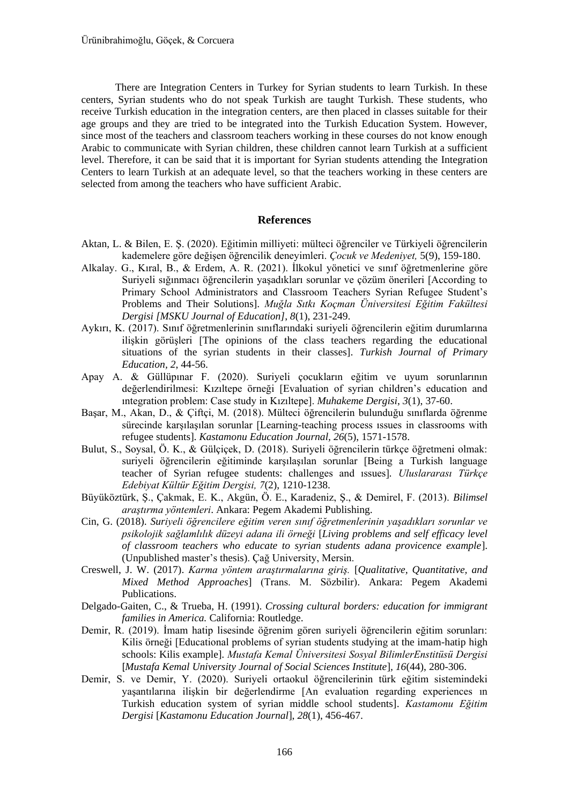There are Integration Centers in Turkey for Syrian students to learn Turkish. In these centers, Syrian students who do not speak Turkish are taught Turkish. These students, who receive Turkish education in the integration centers, are then placed in classes suitable for their age groups and they are tried to be integrated into the Turkish Education System. However, since most of the teachers and classroom teachers working in these courses do not know enough Arabic to communicate with Syrian children, these children cannot learn Turkish at a sufficient level. Therefore, it can be said that it is important for Syrian students attending the Integration Centers to learn Turkish at an adequate level, so that the teachers working in these centers are selected from among the teachers who have sufficient Arabic.

### **References**

- Aktan, L. & Bilen, E. Ş. (2020). Eğitimin milliyeti: mülteci öğrenciler ve Türkiyeli öğrencilerin kademelere göre değişen öğrencilik deneyimleri. *Çocuk ve Medeniyet,* 5(9), 159-180.
- Alkalay. G., Kıral, B., & Erdem, A. R. (2021). İlkokul yönetici ve sınıf öğretmenlerine göre Suriyeli sığınmacı öğrencilerin yaşadıkları sorunlar ve çözüm önerileri [According to Primary School Administrators and Classroom Teachers Syrian Refugee Student's Problems and Their Solutions]. *Muğla Sıtkı Koçman Üniversitesi Eğitim Fakültesi Dergisi [MSKU Journal of Education]*, *8*(1), 231-249.
- Aykırı, K. (2017). Sınıf öğretmenlerinin sınıflarındaki suriyeli öğrencilerin eğitim durumlarına ilişkin görüşleri [The opinions of the class teachers regarding the educational situations of the syrian students in their classes]. *Turkish Journal of Primary Education, 2*, 44-56.
- Apay A. & Güllüpınar F. (2020). Suriyeli çocukların eğitim ve uyum sorunlarının değerlendirilmesi: Kızıltepe örneği [Evaluation of syrian children's education and ıntegration problem: Case study in Kızıltepe]. *Muhakeme Dergisi*, *3*(1), 37-60.
- Başar, M., Akan, D., & Çiftçi, M. (2018). Mülteci öğrencilerin bulunduğu sınıflarda öğrenme sürecinde karşılaşılan sorunlar [Learning-teaching process ıssues in classrooms with refugee students]. *Kastamonu Education Journal, 26*(5), 1571-1578.
- Bulut, S., Soysal, Ö. K., & Gülçiçek, D. (2018). Suriyeli öğrencilerin türkçe öğretmeni olmak: suriyeli öğrencilerin eğitiminde karşılaşılan sorunlar [Being a Turkish language teacher of Syrian refugee students: challenges and ıssues]*. Uluslararası Türkçe Edebiyat Kültür Eğitim Dergisi, 7*(2), 1210-1238.
- Büyüköztürk, Ş., Çakmak, E. K., Akgün, Ö. E., Karadeniz, Ş., & Demirel, F. (2013). *Bilimsel araştırma yöntemleri*. Ankara: Pegem Akademi Publishing.
- Cin, G. (2018). *Suriyeli öğrencilere eğitim veren sınıf öğretmenlerinin yaşadıkları sorunlar ve psikolojik sağlamlılık düzeyi adana ili örneği* [*Living problems and self efficacy level of classroom teachers who educate to syrian students adana provicence example*]. (Unpublished master's thesis). Çağ University, Mersin.
- Creswell, J. W. (2017). *Karma yöntem araştırmalarına giriş.* [*Qualitative, Quantitative, and Mixed Method Approaches*] (Trans. M. Sözbilir). Ankara: Pegem Akademi Publications.
- Delgado-Gaiten, C., & Trueba, H. (1991). *Crossing cultural borders: education for immigrant families in America.* California: Routledge.
- Demir, R. (2019). İmam hatip lisesinde öğrenim gören suriyeli öğrencilerin eğitim sorunları: Kilis örneği [Educational problems of syrian students studying at the imam-hatip high schools: Kilis example]. *Mustafa Kemal Üniversitesi Sosyal BilimlerEnstitüsü Dergisi* [*Mustafa Kemal University Journal of Social Sciences Institute*]*, 16*(44), 280-306.
- Demir, S. ve Demir, Y. (2020). Suriyeli ortaokul öğrencilerinin türk eğitim sistemindeki yaşantılarına ilişkin bir değerlendirme [An evaluation regarding experiences ın Turkish education system of syrian middle school students]. *Kastamonu Eğitim Dergisi* [*Kastamonu Education Journal*], *28*(1), 456-467.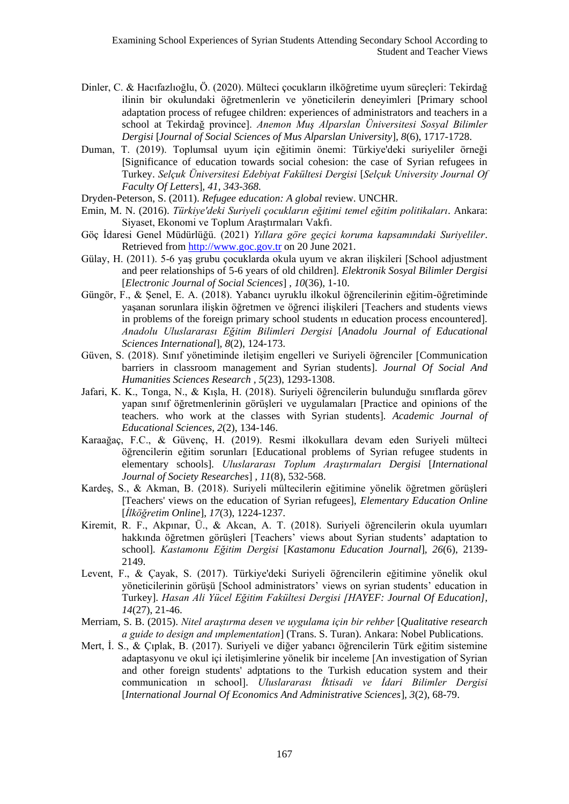- Dinler, C. & Hacıfazlıoğlu, Ö. (2020). Mülteci çocukların ilköğretime uyum süreçleri: Tekirdağ ilinin bir okulundaki öğretmenlerin ve yöneticilerin deneyimleri [Primary school adaptation process of refugee children: experiences of administrators and teachers in a school at Tekirdağ province]. *Anemon Muş Alparslan Üniversitesi Sosyal Bilimler Dergisi* [*Journal of Social Sciences of Mus Alparslan University*]*, 8*(6), 1717-1728.
- Duman, T. (2019). Toplumsal uyum için eğitimin önemi: Türkiye'deki suriyeliler örneği [Significance of education towards social cohesion: the case of Syrian refugees in Turkey. *Selçuk Üniversitesi Edebiyat Fakültesi Dergisi* [*Selçuk University Journal Of Faculty Of Letters*]*, 41, 343-368.*
- Dryden-Peterson, S. (2011). *Refugee education: A global* review. UNCHR.
- Emin, M. N. (2016). *Türkiye'deki Suriyeli çocukların eğitimi temel eğitim politikaları*. Ankara: Siyaset, Ekonomi ve Toplum Araştırmaları Vakfı.
- Göç İdaresi Genel Müdürlüğü. (2021) *Yıllara göre geçici koruma kapsamındaki Suriyeliler*. Retrieved from [http://www.goc.gov.tr](http://www.goc.gov.tr/) on 20 June 2021.
- Gülay, H. (2011). 5-6 yaş grubu çocuklarda okula uyum ve akran ilişkileri [School adjustment and peer relationships of 5-6 years of old children]. *Elektronik Sosyal Bilimler Dergisi* [*Electronic Journal of Social Sciences*] *, 10*(36), 1-10.
- Güngör, F., & Şenel, E. A. (2018). Yabancı uyruklu ilkokul öğrencilerinin eğitim-öğretiminde yaşanan sorunlara ilişkin öğretmen ve öğrenci ilişkileri [Teachers and students views in problems of the foreign primary school students ın education process encountered]*. Anadolu Uluslararası Eğitim Bilimleri Dergisi* [*Anadolu Journal of Educational Sciences International*]*, 8*(2), 124-173.
- Güven, S. (2018). Sınıf yönetiminde iletişim engelleri ve Suriyeli öğrenciler [Communication barriers in classroom management and Syrian students]. *Journal Of Social And Humanities Sciences Research , 5*(23), 1293-1308.
- Jafari, K. K., Tonga, N., & Kışla, H. (2018). Suriyeli öğrencilerin bulunduğu sınıflarda görev yapan sınıf öğretmenlerinin görüşleri ve uygulamaları [Practice and opinions of the teachers. who work at the classes with Syrian students]. *Academic Journal of Educational Sciences, 2*(2), 134-146.
- Karaağaç, F.C., & Güvenç, H. (2019). Resmi ilkokullara devam eden Suriyeli mülteci öğrencilerin eğitim sorunları [Educational problems of Syrian refugee students in elementary schools]. *Uluslararası Toplum Araştırmaları Dergisi* [*International Journal of Society Researches*] *, 11*(8), 532-568.
- Kardeş, S., & Akman, B. (2018). Suriyeli mültecilerin eğitimine yönelik öğretmen görüşleri [Teachers' views on the education of Syrian refugees], *Elementary Education Online*  [*İlköğretim Online*], *17*(3), 1224-1237.
- Kiremit, R. F., Akpınar, Ü., & Akcan, A. T. (2018). Suriyeli öğrencilerin okula uyumları hakkında öğretmen görüşleri [Teachers' views about Syrian students' adaptation to school]. *Kastamonu Eğitim Dergisi* [*Kastamonu Education Journal*]*, 26*(6), 2139- 2149.
- Levent, F., & Çayak, S. (2017). Türkiye'deki Suriyeli öğrencilerin eğitimine yönelik okul yöneticilerinin görüşü [School administrators' views on syrian students' education in Turkey]. *Hasan Ali Yücel Eğitim Fakültesi Dergisi [HAYEF: Journal Of Education], 14*(27), 21-46.
- Merriam, S. B. (2015). *Nitel araştırma desen ve uygulama için bir rehber* [*Qualitative research a guide to design and ımplementation*] (Trans. S. Turan). Ankara: Nobel Publications.
- Mert, İ. S., & Çıplak, B. (2017). Suriyeli ve diğer yabancı öğrencilerin Türk eğitim sistemine adaptasyonu ve okul içi iletişimlerine yönelik bir inceleme [An investigation of Syrian and other foreign students' adptations to the Turkish education system and their communication ın school]. *Uluslararası İktisadi ve İdari Bilimler Dergisi*  [*International Journal Of Economics And Administrative Sciences*]*, 3*(2), 68-79.